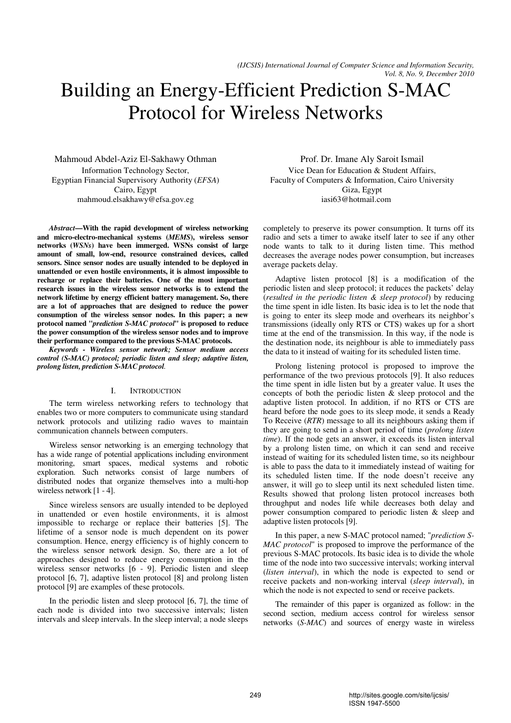# Building an Energy-Efficient Prediction S-MAC Protocol for Wireless Networks

Mahmoud Abdel-Aziz El-Sakhawy Othman Information Technology Sector, Egyptian Financial Supervisory Authority (*EFSA*) Cairo, Egypt mahmoud.elsakhawy@efsa.gov.eg

*Abstract***—With the rapid development of wireless networking and micro-electro-mechanical systems (***MEMS***), wireless sensor networks (***WSNs***) have been immerged. WSNs consist of large amount of small, low-end, resource constrained devices, called sensors. Since sensor nodes are usually intended to be deployed in unattended or even hostile environments, it is almost impossible to recharge or replace their batteries. One of the most important research issues in the wireless sensor networks is to extend the network lifetime by energy efficient battery management. So, there are a lot of approaches that are designed to reduce the power consumption of the wireless sensor nodes. In this paper; a new protocol named "***prediction S-MAC protocol***" is proposed to reduce the power consumption of the wireless sensor nodes and to improve their performance compared to the previous S-MAC protocols.** 

*Keywords - Wireless sensor network; Sensor medium access control (S-MAC) protocol; periodic listen and sleep; adaptive listen, prolong listen, prediction S-MAC protocol.* 

## I. INTRODUCTION

The term wireless networking refers to technology that enables two or more computers to communicate using standard network protocols and utilizing radio waves to maintain communication channels between computers.

Wireless sensor networking is an emerging technology that has a wide range of potential applications including environment monitoring, smart spaces, medical systems and robotic exploration. Such networks consist of large numbers of distributed nodes that organize themselves into a multi-hop wireless network [1 - 4].

Since wireless sensors are usually intended to be deployed in unattended or even hostile environments, it is almost impossible to recharge or replace their batteries [5]. The lifetime of a sensor node is much dependent on its power consumption. Hence, energy efficiency is of highly concern to the wireless sensor network design. So, there are a lot of approaches designed to reduce energy consumption in the wireless sensor networks [6 - 9]. Periodic listen and sleep protocol [6, 7], adaptive listen protocol [8] and prolong listen protocol [9] are examples of these protocols.

In the periodic listen and sleep protocol [6, 7], the time of each node is divided into two successive intervals; listen intervals and sleep intervals. In the sleep interval; a node sleeps

Prof. Dr. Imane Aly Saroit Ismail Vice Dean for Education & Student Affairs, Faculty of Computers & Information, Cairo University Giza, Egypt iasi63@hotmail.com

completely to preserve its power consumption. It turns off its radio and sets a timer to awake itself later to see if any other node wants to talk to it during listen time. This method decreases the average nodes power consumption, but increases average packets delay.

Adaptive listen protocol [8] is a modification of the periodic listen and sleep protocol; it reduces the packets' delay (*resulted in the periodic listen & sleep protocol*) by reducing the time spent in idle listen. Its basic idea is to let the node that is going to enter its sleep mode and overhears its neighbor's transmissions (ideally only RTS or CTS) wakes up for a short time at the end of the transmission. In this way, if the node is the destination node, its neighbour is able to immediately pass the data to it instead of waiting for its scheduled listen time.

Prolong listening protocol is proposed to improve the performance of the two previous protocols [9]. It also reduces the time spent in idle listen but by a greater value. It uses the concepts of both the periodic listen & sleep protocol and the adaptive listen protocol. In addition, if no RTS or CTS are heard before the node goes to its sleep mode, it sends a Ready To Receive (*RTR*) message to all its neighbours asking them if they are going to send in a short period of time (*prolong listen time*). If the node gets an answer, it exceeds its listen interval by a prolong listen time, on which it can send and receive instead of waiting for its scheduled listen time, so its neighbour is able to pass the data to it immediately instead of waiting for its scheduled listen time. If the node doesn't receive any answer, it will go to sleep until its next scheduled listen time. Results showed that prolong listen protocol increases both throughput and nodes life while decreases both delay and power consumption compared to periodic listen & sleep and adaptive listen protocols [9].

In this paper, a new S-MAC protocol named; "*prediction S-MAC protocol*" is proposed to improve the performance of the previous S-MAC protocols. Its basic idea is to divide the whole time of the node into two successive intervals; working interval (*listen interval*), in which the node is expected to send or receive packets and non-working interval (*sleep interval*), in which the node is not expected to send or receive packets.

The remainder of this paper is organized as follow: in the second section, medium access control for wireless sensor networks (*S-MAC*) and sources of energy waste in wireless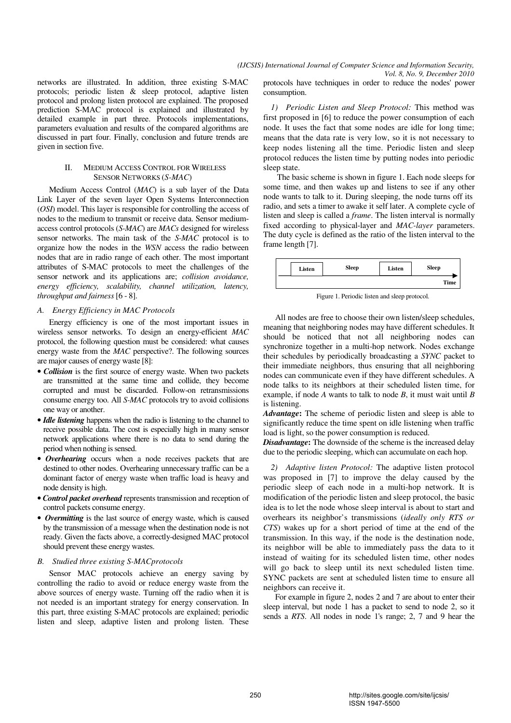networks are illustrated. In addition, three existing S-MAC protocols; periodic listen & sleep protocol, adaptive listen protocol and prolong listen protocol are explained. The proposed prediction S-MAC protocol is explained and illustrated by detailed example in part three. Protocols implementations, parameters evaluation and results of the compared algorithms are discussed in part four. Finally, conclusion and future trends are given in section five.

## II. MEDIUM ACCESS CONTROL FOR WIRELESS SENSOR NETWORKS (*S-MAC*)

Medium Access Control (*MAC*) is a sub layer of the Data Link Layer of the seven layer Open Systems Interconnection (*OSI*) model. This layer is responsible for controlling the access of nodes to the medium to transmit or receive data. Sensor mediumaccess control protocols (*S-MAC*) are *MACs* designed for wireless sensor networks. The main task of the *S-MAC* protocol is to organize how the nodes in the *WSN* access the radio between nodes that are in radio range of each other. The most important attributes of S-MAC protocols to meet the challenges of the sensor network and its applications are; *collision avoidance, energy efficiency, scalability, channel utilization, latency, throughput and fairness* [6 - 8].

## *A. Energy Efficiency in MAC Protocols*

Energy efficiency is one of the most important issues in wireless sensor networks. To design an energy-efficient *MAC* protocol, the following question must be considered: what causes energy waste from the *MAC* perspective?. The following sources are major causes of energy waste [8]:

- *Collision* is the first source of energy waste. When two packets are transmitted at the same time and collide, they become corrupted and must be discarded. Follow-on retransmissions consume energy too. All *S-MAC* protocols try to avoid collisions one way or another.
- *Idle listening* happens when the radio is listening to the channel to receive possible data. The cost is especially high in many sensor network applications where there is no data to send during the period when nothing is sensed.
- *Overhearing* occurs when a node receives packets that are destined to other nodes. Overhearing unnecessary traffic can be a dominant factor of energy waste when traffic load is heavy and node density is high.
- *Control packet overhead* represents transmission and reception of control packets consume energy.
- *Overmitting* is the last source of energy waste, which is caused by the transmission of a message when the destination node is not ready. Given the facts above, a correctly-designed MAC protocol should prevent these energy wastes.

## *B. Studied three existing S-MACprotocols*

Sensor MAC protocols achieve an energy saving by controlling the radio to avoid or reduce energy waste from the above sources of energy waste. Turning off the radio when it is not needed is an important strategy for energy conservation. In this part, three existing S-MAC protocols are explained; periodic listen and sleep, adaptive listen and prolong listen. These

protocols have techniques in order to reduce the nodes' power consumption.

*1) Periodic Listen and Sleep Protocol:* This method was first proposed in [6] to reduce the power consumption of each node. It uses the fact that some nodes are idle for long time; means that the data rate is very low, so it is not necessary to keep nodes listening all the time. Periodic listen and sleep protocol reduces the listen time by putting nodes into periodic sleep state.

The basic scheme is shown in figure 1. Each node sleeps for some time, and then wakes up and listens to see if any other node wants to talk to it. During sleeping, the node turns off its radio, and sets a timer to awake it self later. A complete cycle of listen and sleep is called a *frame*. The listen interval is normally fixed according to physical-layer and *MAC-layer* parameters. The duty cycle is defined as the ratio of the listen interval to the frame length [7].



Figure 1. Periodic listen and sleep protocol.

All nodes are free to choose their own listen/sleep schedules, meaning that neighboring nodes may have different schedules. It should be noticed that not all neighboring nodes can synchronize together in a multi-hop network. Nodes exchange their schedules by periodically broadcasting a *SYNC* packet to their immediate neighbors, thus ensuring that all neighboring nodes can communicate even if they have different schedules. A node talks to its neighbors at their scheduled listen time, for example, if node *A* wants to talk to node *B*, it must wait until *B* is listening.

*Advantage***:** The scheme of periodic listen and sleep is able to significantly reduce the time spent on idle listening when traffic load is light, so the power consumption is reduced.

*Disadvantage*: The downside of the scheme is the increased delay due to the periodic sleeping, which can accumulate on each hop.

*2) Adaptive listen Protocol:* The adaptive listen protocol was proposed in [7] to improve the delay caused by the periodic sleep of each node in a multi-hop network. It is modification of the periodic listen and sleep protocol, the basic idea is to let the node whose sleep interval is about to start and overhears its neighbor's transmissions (*ideally only RTS or CTS*) wakes up for a short period of time at the end of the transmission. In this way, if the node is the destination node, its neighbor will be able to immediately pass the data to it instead of waiting for its scheduled listen time, other nodes will go back to sleep until its next scheduled listen time. SYNC packets are sent at scheduled listen time to ensure all neighbors can receive it.

For example in figure 2, nodes 2 and 7 are about to enter their sleep interval, but node 1 has a packet to send to node 2, so it sends a *RTS*. All nodes in node 1's range; 2, 7 and 9 hear the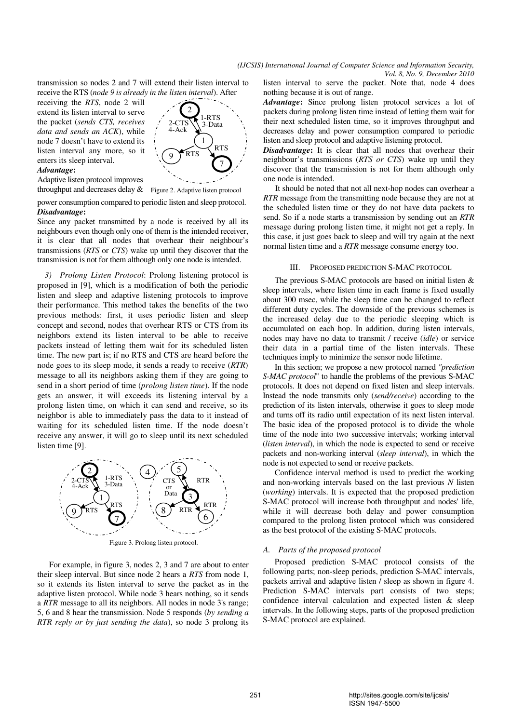transmission so nodes 2 and 7 will extend their listen interval to receive the RTS (*node 9 is already in the listen interval*). After

 extend its listen interval to serve the packet (*sends CTS, receives*  receiving the *RTS*, node 2 will *data and sends an ACK*), while node 7 doesn't have to extend its listen interval any more, so it enters its sleep interval.

#### *Advantage***:**

Adaptive listen protocol improves



9

2-CTS 4-Ack

2

power consumption compared to periodic listen and sleep protocol.

#### *Disadvantage***:**

Since any packet transmitted by a node is received by all its neighbours even though only one of them is the intended receiver, it is clear that all nodes that overhear their neighbour's transmissions (*RTS* or *CTS*) wake up until they discover that the transmission is not for them although only one node is intended.

*3) Prolong Listen Protocol*: Prolong listening protocol is proposed in [9], which is a modification of both the periodic listen and sleep and adaptive listening protocols to improve their performance. This method takes the benefits of the two previous methods: first, it uses periodic listen and sleep concept and second, nodes that overhear RTS or CTS from its neighbors extend its listen interval to be able to receive packets instead of letting them wait for its scheduled listen time. The new part is; if no RTS and CTS are heard before the node goes to its sleep mode, it sends a ready to receive (*RTR*) message to all its neighbors asking them if they are going to send in a short period of time (*prolong listen time*). If the node gets an answer, it will exceeds its listening interval by a prolong listen time, on which it can send and receive, so its neighbor is able to immediately pass the data to it instead of waiting for its scheduled listen time. If the node doesn't receive any answer, it will go to sleep until its next scheduled listen time [9].



For example, in figure 3, nodes 2, 3 and 7 are about to enter their sleep interval. But since node 2 hears a *RTS* from node 1, so it extends its listen interval to serve the packet as in the adaptive listen protocol. While node 3 hears nothing, so it sends a *RTR* message to all its neighbors. All nodes in node 3's range; 5, 6 and 8 hear the transmission. Node 5 responds (*by sending a RTR reply or by just sending the data*), so node 3 prolong its

listen interval to serve the packet. Note that, node 4 does nothing because it is out of range.

*Advantage***:** Since prolong listen protocol services a lot of packets during prolong listen time instead of letting them wait for their next scheduled listen time, so it improves throughput and decreases delay and power consumption compared to periodic listen and sleep protocol and adaptive listening protocol.

*Disadvantage***:** It is clear that all nodes that overhear their neighbour's transmissions (*RTS or CTS*) wake up until they discover that the transmission is not for them although only one node is intended.

It should be noted that not all next-hop nodes can overhear a *RTR* message from the transmitting node because they are not at the scheduled listen time or they do not have data packets to send. So if a node starts a transmission by sending out an *RTR* message during prolong listen time, it might not get a reply. In this case, it just goes back to sleep and will try again at the next normal listen time and a *RTR* message consume energy too.

## III. PROPOSED PREDICTION S-MAC PROTOCOL

The previous S-MAC protocols are based on initial listen & sleep intervals, where listen time in each frame is fixed usually about 300 msec, while the sleep time can be changed to reflect different duty cycles. The downside of the previous schemes is the increased delay due to the periodic sleeping which is accumulated on each hop. In addition, during listen intervals, nodes may have no data to transmit / receive (*idle*) or service their data in a partial time of the listen intervals. These techniques imply to minimize the sensor node lifetime.

In this section; we propose a new protocol named *"prediction S-MAC protocol*" to handle the problems of the previous S-MAC protocols. It does not depend on fixed listen and sleep intervals. Instead the node transmits only (*send/receive*) according to the prediction of its listen intervals, otherwise it goes to sleep mode and turns off its radio until expectation of its next listen interval. The basic idea of the proposed protocol is to divide the whole time of the node into two successive intervals; working interval (*listen interval*), in which the node is expected to send or receive packets and non-working interval (*sleep interval*), in which the node is not expected to send or receive packets.

Confidence interval method is used to predict the working and non-working intervals based on the last previous *N* listen (*working*) intervals. It is expected that the proposed prediction S-MAC protocol will increase both throughput and nodes' life, while it will decrease both delay and power consumption compared to the prolong listen protocol which was considered as the best protocol of the existing S-MAC protocols.

#### *A. Parts of the proposed protocol*

Proposed prediction S-MAC protocol consists of the following parts; non-sleep periods, prediction S-MAC intervals, packets arrival and adaptive listen / sleep as shown in figure 4. Prediction S-MAC intervals part consists of two steps; confidence interval calculation and expected listen & sleep intervals. In the following steps, parts of the proposed prediction S-MAC protocol are explained.



-RTS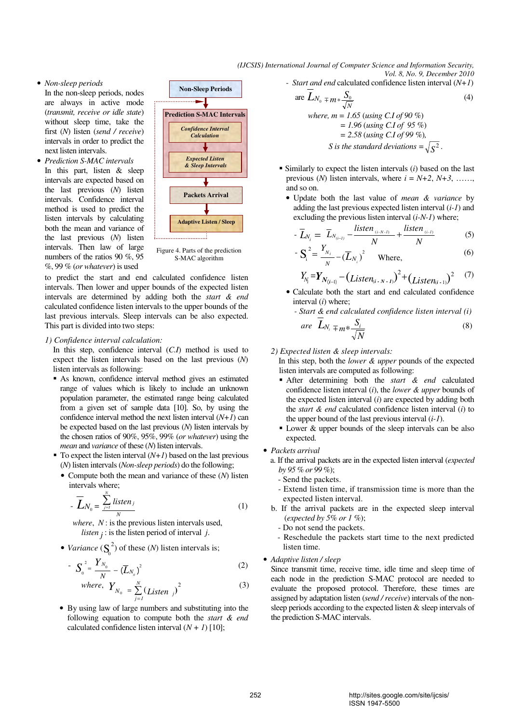• *Non-sleep periods* 

In the non-sleep periods, nodes are always in active mode (*transmit, receive or idle state*) without sleep time, take the first (*N*) listen (*send / receive*) intervals in order to predict the next listen intervals.

• *Prediction S-MAC intervals*  In this part, listen & sleep intervals are expected based on the last previous (*N*) listen intervals. Confidence interval method is used to predict the listen intervals by calculating both the mean and variance of the last previous (*N*) listen intervals. Then law of large numbers of the ratios 90 %, 95 %, 99 % (*or whatever*) is used



Figure 4. Parts of the prediction S-MAC algorithm

to predict the start and end calculated confidence listen intervals. Then lower and upper bounds of the expected listen intervals are determined by adding both the *start & end* calculated confidence listen intervals to the upper bounds of the last previous intervals. Sleep intervals can be also expected. This part is divided into two steps:

#### *1) Confidence interval calculation:*

In this step, confidence interval (*C.I*) method is used to expect the listen intervals based on the last previous (*N*) listen intervals as following:

- As known, confidence interval method gives an estimated range of values which is likely to include an unknown population parameter, the estimated range being calculated from a given set of sample data [10]. So, by using the confidence interval method the next listen interval (*N+1*) can be expected based on the last previous (*N*) listen intervals by the chosen ratios of 90%, 95%, 99% (*or whatever*) using the *mean* and *variance* of these (*N*) listen intervals.
- To expect the listen interval  $(N+1)$  based on the last previous (*N*) listen intervals (*Non-sleep periods*) do the following;
	- Compute both the mean and variance of these (*N*) listen intervals where;

$$
- \overline{L}_{N_0} = \frac{\sum_{j=1}^{N} listen_j}{N}
$$
 (1)

 *where*, *N* : is the previous listen intervals used, *listen*  $j$  : is the listen period of interval  $j$ .

• *Variance*  $(S_0^2)$  of these *(N)* listen intervals is;

$$
-S_0^2 = \frac{Y_{N_0}}{N} - (\overline{L}_{N_0})^2
$$
 (2)

where, 
$$
Y_{N_0} = \sum_{j=1}^{N} (Listen_j)^2
$$
 (3)

• By using law of large numbers and substituting into the following equation to compute both the *start & end* calculated confidence listen interval  $(N + 1)$  [10];

*(IJCSIS) International Journal of Computer Science and Information Security, Vol. 8, No. 9, December 2010* 

*- Start and end* calculated confidence listen interval (*N+1*)

are 
$$
L_{N_0} = m * \frac{S_0}{\sqrt{N}}
$$
 (4)  
\nwhere,  $m = 1.65$  (using C.1 of 90%)  
\n $= 1.96$  (using C.1 of 95%)  
\n $= 2.58$  (using C.1 of 99 %),  
\nS is the standard deviations  $= \sqrt{S^2}$ .

- Similarly to expect the listen intervals (*i*) based on the last previous (*N*) listen intervals, where  $i = N+2$ ,  $N+3$ , …… and so on.
	- Update both the last value of *mean & variance* by adding the last previous expected listen interval (*i-1*) and excluding the previous listen interval (*i-N-1*) where;

$$
- \overline{L}_{N_i} = \overline{L}_{N_{(i-1)}} - \frac{listen_{(i \cdot N \cdot I)}}{N} + \frac{listen_{(i \cdot I)}}{N}
$$
(5)

$$
-\mathbf{S}_{i}^{2} = \frac{Y_{N_{i}}}{N} - (\overline{L}_{N_{i}})^{2}
$$
 Where, (6)

$$
Y_{N_i} = Y_{N_{(i-1)}} - (Listen_{(i \cdot N \cdot I)})^2 + (Listen_{(i-1)})^2 \tag{7}
$$

- Calculate both the start and end calculated confidence interval (*i*) where;
	- *Start & end calculated confidence listen interval (i)*

$$
are \quad \overline{L}_{N_i} = m * \frac{S_i}{\sqrt{N}} \tag{8}
$$

### *2) Expected listen & sleep intervals:*

In this step, both the *lower & upper* pounds of the expected listen intervals are computed as following:

- After determining both the *start & end* calculated confidence listen interval (*i*), the *lower & upper* bounds of the expected listen interval (*i*) are expected by adding both the *start & end* calculated confidence listen interval (*i*) to the upper bound of the last previous interval (*i-1*).
- Lower & upper bounds of the sleep intervals can be also expected.
- *Packets arrival* 
	- a. If the arrival packets are in the expected listen interval (*expected by 95 % or 99 %*);
		- Send the packets.
		- Extend listen time, if transmission time is more than the expected listen interval.
	- b. If the arrival packets are in the expected sleep interval (*expected by 5% or 1 %*);
		- Do not send the packets.
		- Reschedule the packets start time to the next predicted listen time.

## • *Adaptive listen / sleep*

Since transmit time, receive time, idle time and sleep time of each node in the prediction S-MAC protocol are needed to evaluate the proposed protocol. Therefore, these times are assigned by adaptation listen (*send / receive*) intervals of the nonsleep periods according to the expected listen & sleep intervals of the prediction S-MAC intervals.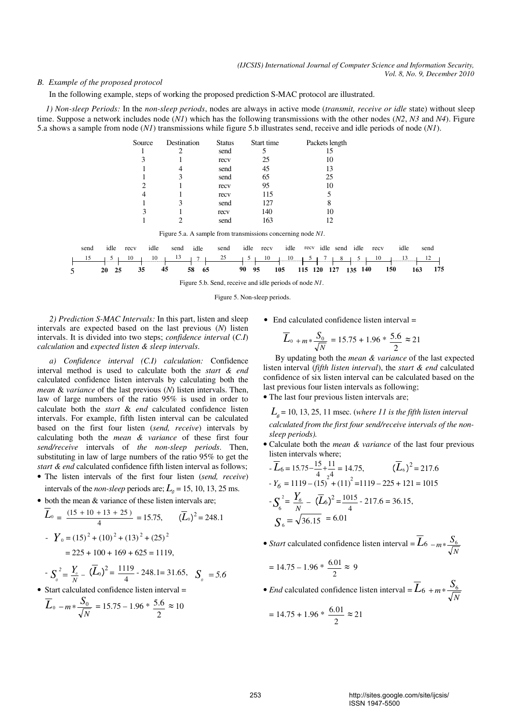## *B. Example of the proposed protocol*

In the following example, steps of working the proposed prediction S-MAC protocol are illustrated.

 *1) Non-sleep Periods:* In the *non-sleep periods*, nodes are always in active mode (*transmit, receive or idle* state) without sleep time. Suppose a network includes node (*N1*) which has the following transmissions with the other nodes (*N2*, *N3* and *N4*). Figure 5.a shows a sample from node (*N1*) transmissions while figure 5.b illustrates send, receive and idle periods of node (*N1*).



Figure 5.b. Send, receive and idle periods of node *N1*.

Figure 5. Non-sleep periods.

*2) Prediction S-MAC Intervals:* In this part, listen and sleep intervals are expected based on the last previous (*N*) listen intervals. It is divided into two steps; *confidence interval* (*C.I*) *calculation* and *expected listen & sleep intervals*.

*a) Confidence interval (C.I) calculation:* Confidence interval method is used to calculate both the *start & end* calculated confidence listen intervals by calculating both the *mean* & *variance* of the last previous (*N*) listen intervals. Then, law of large numbers of the ratio 95% is used in order to calculate both the *start* & *end* calculated confidence listen intervals. For example, fifth listen interval can be calculated based on the first four listen (*send, receive*) intervals by calculating both the *mean & variance* of these first four *send/receive* intervals of *the non-sleep periods*. Then, substituting in law of large numbers of the ratio 95% to get the *start & end* calculated confidence fifth listen interval as follows;

- The listen intervals of the first four listen (*send, receive*) intervals of the *non-sleep* periods are;  $L_0 = 15, 10, 13, 25$  ms.
- both the mean & variance of these listen intervals are;

$$
L_0 = \frac{(15 + 10 + 13 + 25)}{4} = 15.75, \qquad (\overline{L}_0)^2 = 248.1
$$
  
- 
$$
Y_0 = (15)^2 + (10)^2 + (13)^2 + (25)^2
$$
  
= 225 + 100 + 169 + 625 = 1119,

$$
S_o^2 = \frac{Y_o}{N} - (\overline{L}_0)^2 = \frac{1119}{4} - 248.1 = 31.65, \quad S_o = 5.6
$$

• Start calculated confidence listen interval =

$$
\overline{L}_0 - m * \frac{S_0}{\sqrt{N}} = 15.75 - 1.96 * \frac{5.6}{2} \approx 10
$$

• End calculated confidence listen interval =

$$
\overline{L}_{0\ +m\ast} \frac{S_{0}}{\sqrt{N}} = 15.75 + 1.96 * \frac{5.6}{2} \approx 21
$$

By updating both the *mean & variance* of the last expected listen interval (*fifth listen interval*), the *start & end* calculated confidence of six listen interval can be calculated based on the last previous four listen intervals as following;

• The last four previous listen intervals are;

 $L<sub>6</sub>$  = 10, 13, 25, 11 msec. (*where 11 is the fifth listen interval calculated from the first four send/receive intervals of the nonsleep periods).*

• Calculate both the *mean & variance* of the last four previous listen intervals where;

$$
\overline{L}_6 = 15.75 - \frac{15}{4} + \frac{11}{24} = 14.75, \qquad (\overline{L}_6)^2 = 217.6
$$
\n
$$
Y_6 = 1119 - (15) + (11)^2 = 1119 - 225 + 121 = 1015
$$
\n
$$
-S_6^2 = \frac{Y_6}{N} - (\overline{L}_6)^2 = \frac{1015}{4} - 217.6 = 36.15,
$$
\n
$$
S_6 = \sqrt{36.15} = 6.01
$$

• *Start* calculated confidence listen interval  $=L_6$ −*m* \*  $\frac{S_6}{\sqrt{N}}$ 

$$
= 14.75 - 1.96 * \frac{6.01}{2} \approx 9
$$

• *End* calculated confidence listen interval  $= L_6$ *N*  $+m*\frac{S_6}{S_6}$ 

$$
= 14.75 + 1.96 * \frac{6.01}{2} \approx 21
$$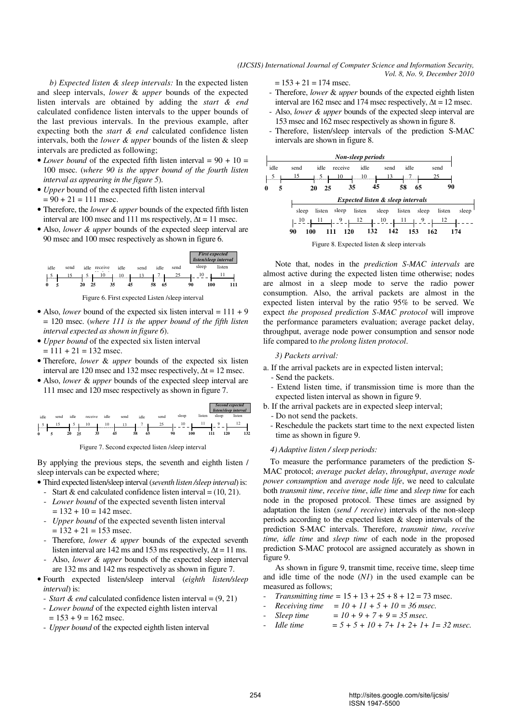$= 153 + 21 = 174$  msec.

 *b) Expected listen & sleep intervals:* In the expected listen and sleep intervals, *lower* & *upper* bounds of the expected listen intervals are obtained by adding the *start & end* calculated confidence listen intervals to the upper bounds of the last previous intervals. In the previous example, after expecting both the *start & end* calculated confidence listen intervals, both the *lower & upper* bounds of the listen & sleep intervals are predicted as following;

- *Lower bound* of the expected fifth listen interval =  $90 + 10 =$ 100 msec. (*where 90 is the upper bound of the fourth listen interval as appearing in the figure 5*).
- *Upper* bound of the expected fifth listen interval  $= 90 + 21 = 111$  msec.
- Therefore, the *lower & upper* bounds of the expected fifth listen interval are 100 msec and 111 ms respectively,  $\Delta t = 11$  msec.
- Also, *lower & upper* bounds of the expected sleep interval are 90 msec and 100 msec respectively as shown in figure 6.



Figure 6. First expected Listen /sleep interval

- Also, *lower* bound of the expected six listen interval  $= 111 + 9$ = 120 msec. (*where 111 is the upper bound of the fifth listen interval expected as shown in figure 6*).
- *Upper bound* of the expected six listen interval  $= 111 + 21 = 132$  msec.
- Therefore, *lower* & *upper* bounds of the expected six listen interval are 120 msec and 132 msec respectively,  $\Delta t = 12$  msec.
- Also, *lower* & *upper* bounds of the expected sleep interval are 111 msec and 120 msec respectively as shown in figure 7.

|                   |      |          |         |        |      |          |      |           |        | Second expected<br>listen/sleep interval |        |  |
|-------------------|------|----------|---------|--------|------|----------|------|-----------|--------|------------------------------------------|--------|--|
| idle              | send | idle     | receive | idle   | send | idle     | send | sleep     | listen | sleep                                    | listen |  |
| $\mathcal{D}$<br> | 15   | ┚<br>    | 10      | 10<br> | 13   |          | 25   | 10        | п      |                                          | 12     |  |
|                   |      |          |         |        |      |          |      |           |        |                                          |        |  |
| $\mathbf{0}$      |      | 25<br>20 | 35      | 45     |      | 58<br>65 |      | 100<br>90 |        | 120<br>111                               | 132    |  |

Figure 7. Second expected listen /sleep interval

By applying the previous steps, the seventh and eighth listen / sleep intervals can be expected where;

- Third expected listen/sleep interval (*seventh listen /sleep interval*) is:
	- Start  $\&$  end calculated confidence listen interval = (10, 21). - *Lower bound* of the expected seventh listen interval
	- $= 132 + 10 = 142$  msec.
	- *Upper bound* of the expected seventh listen interval  $= 132 + 21 = 153$  msec.
	- Therefore, *lower & upper* bounds of the expected seventh listen interval are 142 ms and 153 ms respectively,  $\Delta t = 11$  ms.
	- Also, *lower & upper* bounds of the expected sleep interval are 132 ms and 142 ms respectively as shown in figure 7.
- Fourth expected listen/sleep interval (*eighth listen/sleep interval*) is:
	- *Start & end* calculated confidence listen interval = (9, 21)
	- *Lower bound* of the expected eighth listen interval  $= 153 + 9 = 162$  msec.
	- *Upper bound* of the expected eighth listen interval
- Therefore, *lower* & *upper* bounds of the expected eighth listen interval are 162 msec and 174 msec respectively,  $\Delta t = 12$  msec.
	- Also, *lower & upper* bounds of the expected sleep interval are 153 msec and 162 msec respectively as shown in figure 8.
	- Therefore, listen/sleep intervals of the prediction S-MAC intervals are shown in figure 8.



Figure 8. Expected listen & sleep intervals

Note that, nodes in the *prediction S-MAC intervals* are almost active during the expected listen time otherwise; nodes are almost in a sleep mode to serve the radio power consumption. Also, the arrival packets are almost in the expected listen interval by the ratio 95% to be served. We expect *the proposed prediction S-MAC protocol* will improve the performance parameters evaluation; average packet delay, throughput, average node power consumption and sensor node life compared to *the prolong listen protocol*.

## *3) Packets arrival:*

- a. If the arrival packets are in expected listen interval;
	- Send the packets.
	- Extend listen time, if transmission time is more than the expected listen interval as shown in figure 9.
- b. If the arrival packets are in expected sleep interval;
- Do not send the packets.
- Reschedule the packets start time to the next expected listen time as shown in figure 9.

## *4) Adaptive listen / sleep periods:*

To measure the performance parameters of the prediction S-MAC protocol; *average packet delay*, *throughput*, *average node power consumption* and *average node life*, we need to calculate both *transmit time*, *receive time*, *idle time* and *sleep time* for each node in the proposed protocol. These times are assigned by adaptation the listen (*send / receive*) intervals of the non-sleep periods according to the expected listen & sleep intervals of the prediction S-MAC intervals. Therefore, *transmit time, receive time, idle time* and *sleep time* of each node in the proposed prediction S-MAC protocol are assigned accurately as shown in figure 9.

As shown in figure 9, transmit time, receive time, sleep time and idle time of the node (*N1*) in the used example can be measured as follows;

- *Transmitting time* =  $15 + 13 + 25 + 8 + 12 = 73$  msec.
- *Receiving time* =  $10 + 11 + 5 + 10 = 36$  msec.
- Sleep time  $= 10 + 9 + 7 + 9 = 35$  msec.<br>
Idle time  $= 5 + 5 + 10 + 7 + 1 + 2 + 1 + 1$
- $= 5 + 5 + 10 + 7 + 1 + 2 + 1 + 1 = 32$  msec.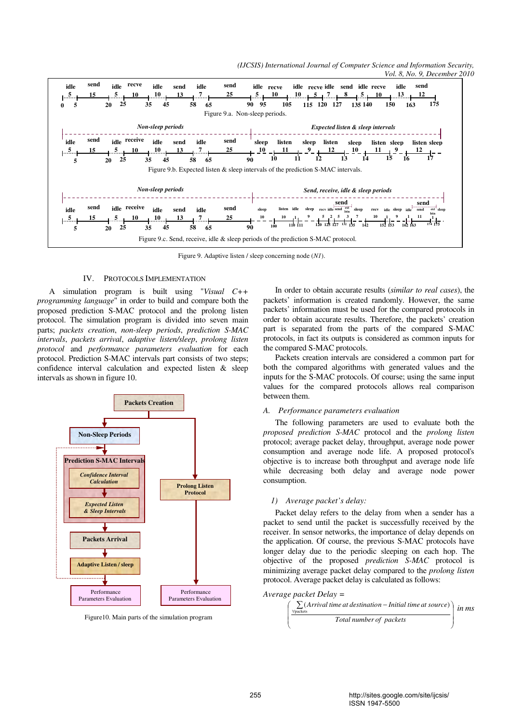*(IJCSIS) International Journal of Computer Science and Information Security, Vol. 8, No. 9, December 2010* 



Figure 9. Adaptive listen / sleep concerning node (*N1*).

## IV. PROTOCOLS IMPLEMENTATION

A simulation program is built using "*Visual C++ programming language*" in order to build and compare both the proposed prediction S-MAC protocol and the prolong listen protocol. The simulation program is divided into seven main parts; *packets creation*, *non-sleep periods*, *prediction S-MAC intervals*, *packets arrival*, *adaptive listen/sleep*, *prolong listen protocol* and *performance parameters evaluation* for each protocol. Prediction S-MAC intervals part consists of two steps; confidence interval calculation and expected listen & sleep intervals as shown in figure 10.



Figure10. Main parts of the simulation program

In order to obtain accurate results (*similar to real cases*), the packets' information is created randomly. However, the same packets' information must be used for the compared protocols in order to obtain accurate results. Therefore, the packets' creation part is separated from the parts of the compared S-MAC protocols, in fact its outputs is considered as common inputs for the compared S-MAC protocols.

Packets creation intervals are considered a common part for both the compared algorithms with generated values and the inputs for the S-MAC protocols. Of course; using the same input values for the compared protocols allows real comparison between them.

## *A. Performance parameters evaluation*

The following parameters are used to evaluate both the *proposed prediction S-MAC* protocol and the *prolong listen* protocol; average packet delay, throughput, average node power consumption and average node life. A proposed protocol's objective is to increase both throughput and average node life while decreasing both delay and average node power consumption.

#### *1) Average packet's delay:*

Packet delay refers to the delay from when a sender has a packet to send until the packet is successfully received by the receiver. In sensor networks, the importance of delay depends on the application. Of course, the previous S-MAC protocols have longer delay due to the periodic sleeping on each hop. The objective of the proposed *prediction S-MAC* protocol is minimizing average packet delay compared to the *prolong listen* protocol. Average packet delay is calculated as follows:



$$
\left(\frac{\sum_{\text{y packets}} (Arrival\ time\ at\ destination - Initial\ time\ at\ source)}{Total\ number\ of\ packets}\right) \text{ in ms}
$$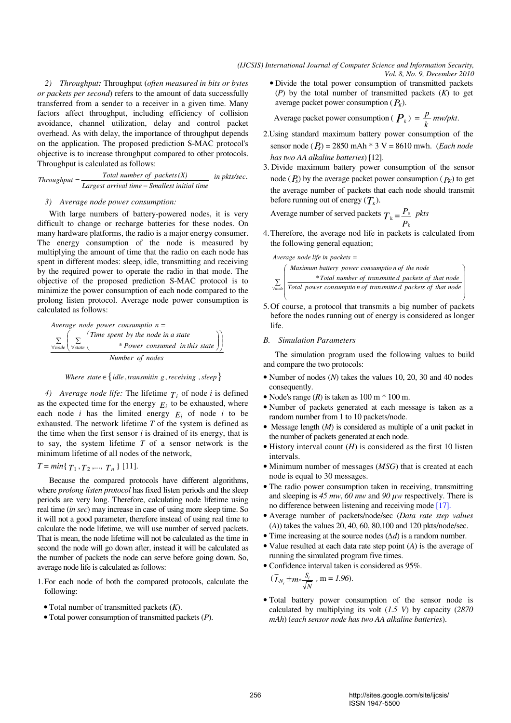*2) Throughput:* Throughput (*often measured in bits or bytes or packets per second*) refers to the amount of data successfully transferred from a sender to a receiver in a given time. Many factors affect throughput, including efficiency of collision avoidance, channel utilization, delay and control packet overhead. As with delay, the importance of throughput depends on the application. The proposed prediction S-MAC protocol's objective is to increase throughput compared to other protocols. Throughput is calculated as follows:

Largest arrival time – Smallest initial time  $Throughput = \frac{Total number of packets(X)}{Largest arrival time - Smallest initial time}$  in pkts/sec.

# *3) Average node power consumption:*

With large numbers of battery-powered nodes, it is very difficult to change or recharge batteries for these nodes. On many hardware platforms, the radio is a major energy consumer. The energy consumption of the node is measured by multiplying the amount of time that the radio on each node has spent in different modes: sleep, idle, transmitting and receiving by the required power to operate the radio in that mode. The objective of the proposed prediction S-MAC protocol is to minimize the power consumption of each node compared to the prolong listen protocol. Average node power consumption is calculated as follows:

Average node power consumption =

\n
$$
\sum_{\text{Ynode}} \left( \sum_{\text{Ystate}} \begin{pmatrix} \text{Time spent by the node in a state} \\ * \text{Power consumed in this state} \end{pmatrix} \right)
$$
\nNumber of nodes

*Where state*  $\in$  { *idle , transmitin g , receiving , sleep* }

*4) Average node life:* The lifetime  $T_i$  of node *i* is defined as the expected time for the energy  $E_i$  to be exhausted, where each node *i* has the limited energy  $E_i$  of node *i* to be exhausted. The network lifetime *T* of the system is defined as the time when the first sensor *i* is drained of its energy, that is to say, the system lifetime *T* of a sensor network is the minimum lifetime of all nodes of the network,

$$
T = min\{T_1, T_2, \dots, T_n\} [11].
$$

Because the compared protocols have different algorithms, where *prolong listen protocol* has fixed listen periods and the sleep periods are very long. Therefore, calculating node lifetime using real time (*in sec*) may increase in case of using more sleep time. So it will not a good parameter, therefore instead of using real time to calculate the node lifetime, we will use number of served packets. That is mean, the node lifetime will not be calculated as the time in second the node will go down after, instead it will be calculated as the number of packets the node can serve before going down. So, average node life is calculated as follows:

- 1.For each node of both the compared protocols, calculate the following:
	- Total number of transmitted packets (*K*).
	- Total power consumption of transmitted packets (*P*).

average packet power consumption  $(P_K)$ . • Divide the total power consumption of transmitted packets (*P*) by the total number of transmitted packets (*K*) to get

Average packet power consumption ( $P_k$ ) =  $\frac{p}{k}$  $=\frac{p}{p}$ *mw/pkt.* 

- 2.Using standard maximum battery power consumption of the sensor node (*Ps*) = 2850 mAh \* 3 V = 8610 mwh. (*Each node has two AA alkaline batteries*) [12].
- before running out of energy  $(T_{\kappa})$ . 3. Divide maximum battery power consumption of the sensor node  $(P_s)$  by the average packet power consumption  $(P_K)$  to get the average number of packets that each node should transmit

 Average number of served packets *P*  $T_k = \frac{P_s}{P_k}$  $s_{\rm k} = \frac{P_{\rm s}}{P_{\rm k}}$  pkts

4.Therefore, the average nod life in packets is calculated from the following general equation;



- 5.Of course, a protocol that transmits a big number of packets before the nodes running out of energy is considered as longer life.
- *B. Simulation Parameters*

The simulation program used the following values to build and compare the two protocols:

- Number of nodes (*N*) takes the values 10, 20, 30 and 40 nodes consequently.
- Node's range  $(R)$  is taken as  $100 \text{ m} * 100 \text{ m}$ .
- Number of packets generated at each message is taken as a random number from 1 to 10 packets/node.
- Message length (*M*) is considered as multiple of a unit packet in the number of packets generated at each node.
- History interval count (*H*) is considered as the first 10 listen intervals.
- Minimum number of messages (*MSG*) that is created at each node is equal to 30 messages.
- The radio power consumption taken in receiving, transmitting and sleeping is *45 mw*, *60 mw* and *90 µw* respectively. There is no difference between listening and receiving mode [17].
- Average number of packets/node/sec (*Data rate step values*  (*A*)) takes the values 20, 40, 60, 80,100 and 120 pkts/node/sec.
- Time increasing at the source nodes (∆*d*) is a random number.
- Value resulted at each data rate step point (*A*) is the average of running the simulated program five times.
- Confidence interval taken is considered as 95%.

$$
(\overline{L}_{N_i} \pm m * \frac{S_i}{\sqrt{N}} \cdot m = 1.96).
$$

• Total battery power consumption of the sensor node is calculated by multiplying its volt (*1.5 V*) by capacity (*2870 mAh*) (*each sensor node has two AA alkaline batteries*).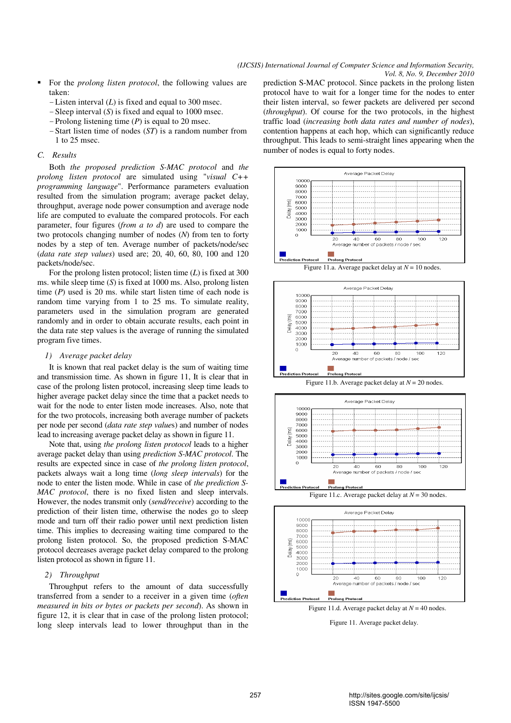- For the *prolong listen protocol*, the following values are taken:
	- -Listen interval (*L*) is fixed and equal to 300 msec.
	- -Sleep interval (*S*) is fixed and equal to 1000 msec.
	- -Prolong listening time (*P*) is equal to 20 msec.
	- -Start listen time of nodes (*ST*) is a random number from 1 to 25 msec.

## *C. Results*

Both *the proposed prediction S-MAC protocol* and *the prolong listen protocol* are simulated using "*visual C++ programming language*". Performance parameters evaluation resulted from the simulation program; average packet delay, throughput, average node power consumption and average node life are computed to evaluate the compared protocols. For each parameter, four figures (*from a to d*) are used to compare the two protocols changing number of nodes (*N*) from ten to forty nodes by a step of ten. Average number of packets/node/sec (*data rate step values*) used are; 20, 40, 60, 80, 100 and 120 packets/node/sec.

For the prolong listen protocol; listen time (*L*) is fixed at 300 ms. while sleep time (*S*) is fixed at 1000 ms. Also, prolong listen time (*P*) used is 20 ms. while start listen time of each node is random time varying from 1 to 25 ms. To simulate reality, parameters used in the simulation program are generated randomly and in order to obtain accurate results, each point in the data rate step values is the average of running the simulated program five times.

### *1) Average packet delay*

It is known that real packet delay is the sum of waiting time and transmission time. As shown in figure 11, It is clear that in case of the prolong listen protocol, increasing sleep time leads to higher average packet delay since the time that a packet needs to wait for the node to enter listen mode increases. Also, note that for the two protocols, increasing both average number of packets per node per second (*data rate step value*s) and number of nodes lead to increasing average packet delay as shown in figure 11.

Note that, using *the prolong listen protocol* leads to a higher average packet delay than using *prediction S-MAC protocol*. The results are expected since in case of *the prolong listen protocol*, packets always wait a long time (*long sleep intervals*) for the node to enter the listen mode. While in case of *the prediction S-MAC protocol*, there is no fixed listen and sleep intervals. However, the nodes transmit only (*send/receive*) according to the prediction of their listen time, otherwise the nodes go to sleep mode and turn off their radio power until next prediction listen time. This implies to decreasing waiting time compared to the prolong listen protocol. So, the proposed prediction S-MAC protocol decreases average packet delay compared to the prolong listen protocol as shown in figure 11.

## *2) Throughput*

Throughput refers to the amount of data successfully transferred from a sender to a receiver in a given time (*often measured in bits or bytes or packets per second*). As shown in figure 12, it is clear that in case of the prolong listen protocol; long sleep intervals lead to lower throughput than in the prediction S-MAC protocol. Since packets in the prolong listen protocol have to wait for a longer time for the nodes to enter their listen interval, so fewer packets are delivered per second (*throughput*). Of course for the two protocols, in the highest traffic load (*increasing both data rates and number of nodes*), contention happens at each hop, which can significantly reduce throughput. This leads to semi-straight lines appearing when the number of nodes is equal to forty nodes.













Figure 11. Average packet delay.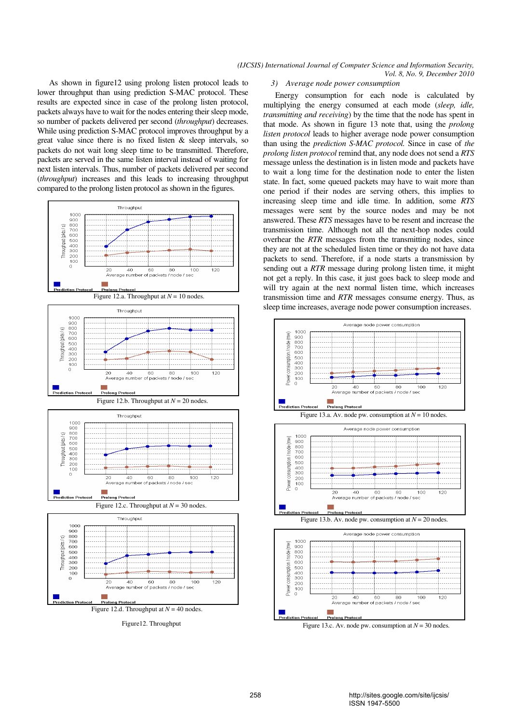As shown in figure12 using prolong listen protocol leads to lower throughput than using prediction S-MAC protocol. These results are expected since in case of the prolong listen protocol, packets always have to wait for the nodes entering their sleep mode, so number of packets delivered per second (*throughput*) decreases. While using prediction S-MAC protocol improves throughput by a great value since there is no fixed listen  $\&$  sleep intervals, so packets do not wait long sleep time to be transmitted. Therefore, packets are served in the same listen interval instead of waiting for next listen intervals. Thus, number of packets delivered per second (*throughput*) increases and this leads to increasing throughput compared to the prolong listen protocol as shown in the figures.



Figure12. Throughput

#### *3) Average node power consumption*

Energy consumption for each node is calculated by multiplying the energy consumed at each mode (*sleep, idle, transmitting and receiving*) by the time that the node has spent in that mode. As shown in figure 13 note that, using the *prolong listen protocol* leads to higher average node power consumption than using the *prediction S-MAC protocol.* Since in case of *the prolong listen protocol* remind that, any node does not send a *RTS* message unless the destination is in listen mode and packets have to wait a long time for the destination node to enter the listen state. In fact, some queued packets may have to wait more than one period if their nodes are serving others, this implies to increasing sleep time and idle time. In addition, some *RTS* messages were sent by the source nodes and may be not answered. These *RTS* messages have to be resent and increase the transmission time. Although not all the next-hop nodes could overhear the *RTR* messages from the transmitting nodes, since they are not at the scheduled listen time or they do not have data packets to send. Therefore, if a node starts a transmission by sending out a *RTR* message during prolong listen time, it might not get a reply. In this case, it just goes back to sleep mode and will try again at the next normal listen time, which increases transmission time and *RTR* messages consume energy. Thus, as sleep time increases, average node power consumption increases.



Figure 13.c. Av. node pw. consumption at *N* = 30 nodes.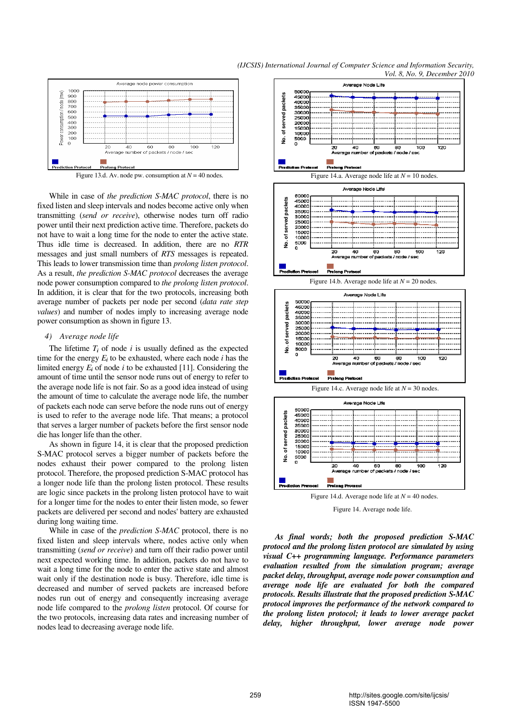

While in case of *the prediction S-MAC protocol*, there is no fixed listen and sleep intervals and nodes become active only when transmitting (*send or receive*), otherwise nodes turn off radio power until their next prediction active time. Therefore, packets do not have to wait a long time for the node to enter the active state. Thus idle time is decreased. In addition, there are no *RTR* messages and just small numbers of *RTS* messages is repeated. This leads to lower transmission time than *prolong listen protocol*. As a result, *the prediction S-MAC protocol* decreases the average node power consumption compared to *the prolong listen protocol*. In addition, it is clear that for the two protocols, increasing both average number of packets per node per second (*data rate step values*) and number of nodes imply to increasing average node power consumption as shown in figure 13.

#### *4) Average node life*

The lifetime  $T_i$  of node  $i$  is usually defined as the expected time for the energy  $E_i$  to be exhausted, where each node  $i$  has the limited energy  $E_i$  of node  $i$  to be exhausted [11]. Considering the amount of time until the sensor node runs out of energy to refer to the average node life is not fair. So as a good idea instead of using the amount of time to calculate the average node life, the number of packets each node can serve before the node runs out of energy is used to refer to the average node life. That means; a protocol that serves a larger number of packets before the first sensor node die has longer life than the other.

As shown in figure 14, it is clear that the proposed prediction S-MAC protocol serves a bigger number of packets before the nodes exhaust their power compared to the prolong listen protocol. Therefore, the proposed prediction S-MAC protocol has a longer node life than the prolong listen protocol. These results are logic since packets in the prolong listen protocol have to wait for a longer time for the nodes to enter their listen mode, so fewer packets are delivered per second and nodes' battery are exhausted during long waiting time.

While in case of the *prediction S-MAC* protocol, there is no fixed listen and sleep intervals where, nodes active only when transmitting (*send or receive*) and turn off their radio power until next expected working time. In addition, packets do not have to wait a long time for the node to enter the active state and almost wait only if the destination node is busy. Therefore, idle time is decreased and number of served packets are increased before nodes run out of energy and consequently increasing average node life compared to the *prolong listen* protocol. Of course for the two protocols, increasing data rates and increasing number of nodes lead to decreasing average node life.



Figure 14. Average node life.

*As final words; both the proposed prediction S-MAC protocol and the prolong listen protocol are simulated by using visual C++ programming language. Performance parameters evaluation resulted from the simulation program; average packet delay, throughput, average node power consumption and average node life are evaluated for both the compared protocols. Results illustrate that the proposed prediction S-MAC protocol improves the performance of the network compared to the prolong listen protocol; it leads to lower average packet delay, higher throughput, lower average node power*